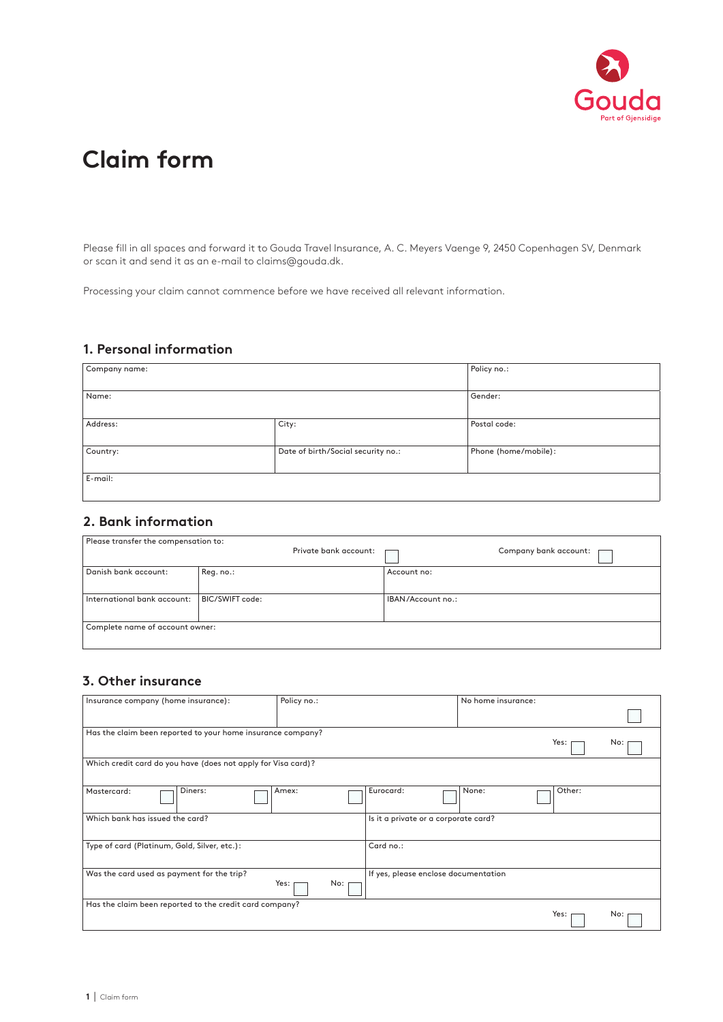

# **Claim form**

Please fill in all spaces and forward it to Gouda Travel Insurance, A. C. Meyers Vaenge 9, 2450 Copenhagen SV, Denmark or scan it and send it as an e-mail to claims@gouda.dk.

Processing your claim cannot commence before we have received all relevant information.

## **1. Personal information**

| Company name: | Policy no.:                        |                      |
|---------------|------------------------------------|----------------------|
|               |                                    |                      |
| Name:         | Gender:                            |                      |
|               |                                    |                      |
| Address:      | City:                              | Postal code:         |
|               |                                    |                      |
| Country:      | Date of birth/Social security no.: | Phone (home/mobile): |
|               |                                    |                      |
| E-mail:       |                                    |                      |
|               |                                    |                      |

### **2. Bank information**

| Please transfer the compensation to: |                 |                       |                   |                       |
|--------------------------------------|-----------------|-----------------------|-------------------|-----------------------|
|                                      |                 | Private bank account: |                   | Company bank account: |
| Danish bank account:                 | Reg. no.:       |                       | Account no:       |                       |
| International bank account:          | BIC/SWIFT code: |                       | IBAN/Account no.: |                       |
| Complete name of account owner:      |                 |                       |                   |                       |

#### **3. Other insurance**

| Insurance company (home insurance):                           | Policy no.: |                                      | No home insurance: |        |     |
|---------------------------------------------------------------|-------------|--------------------------------------|--------------------|--------|-----|
|                                                               |             |                                      |                    |        |     |
| Has the claim been reported to your home insurance company?   |             |                                      |                    |        |     |
|                                                               |             |                                      |                    | Yes:   | No: |
| Which credit card do you have (does not apply for Visa card)? |             |                                      |                    |        |     |
|                                                               |             |                                      |                    |        |     |
| Mastercard:<br>Diners:                                        | Amex:       | Eurocard:                            | None:              | Other: |     |
|                                                               |             |                                      |                    |        |     |
| Which bank has issued the card?                               |             | Is it a private or a corporate card? |                    |        |     |
| Type of card (Platinum, Gold, Silver, etc.):                  |             | Card no.:                            |                    |        |     |
|                                                               |             |                                      |                    |        |     |
| Was the card used as payment for the trip?                    |             | If yes, please enclose documentation |                    |        |     |
|                                                               | Yes:<br>No: |                                      |                    |        |     |
| Has the claim been reported to the credit card company?       |             |                                      |                    |        |     |
|                                                               |             |                                      |                    | Yes:   | No: |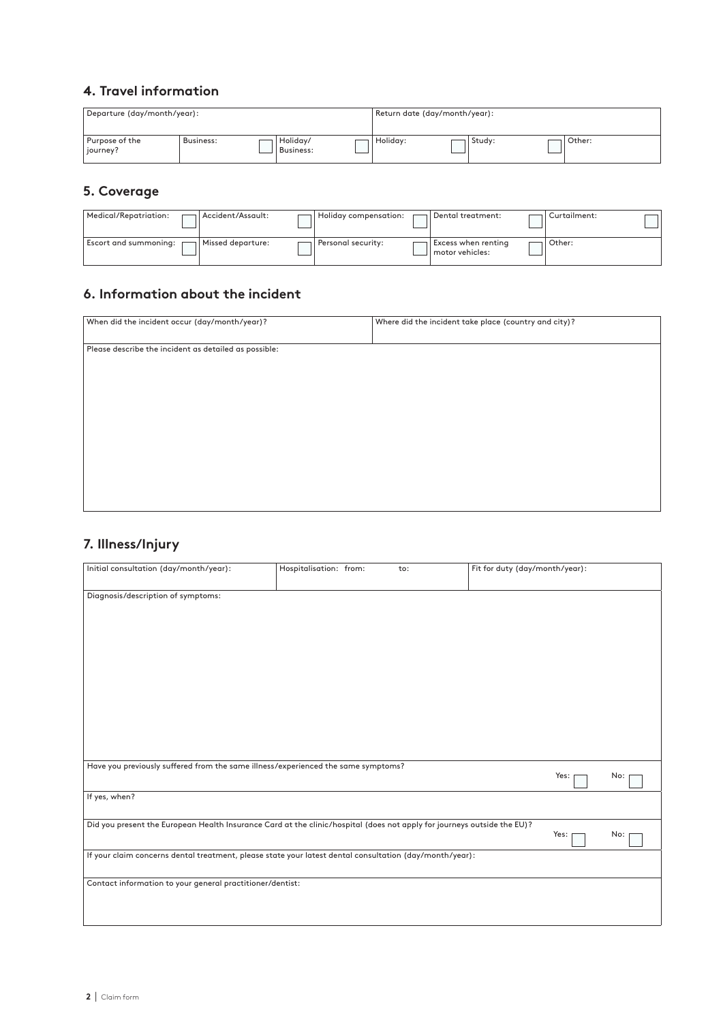## **4. Travel information**

| Departure (day/month/year): |           |                       | Return date (day/month/year): |        |        |
|-----------------------------|-----------|-----------------------|-------------------------------|--------|--------|
| Purpose of the<br>journey?  | Business: | Holidav/<br>Business: | Holidav:                      | Study: | Other: |

## **5. Coverage**

| Medical/Repatriation:   | Accident/Assault: | Holiday compensation: | Dental treatment:                             | Curtailment: |
|-------------------------|-------------------|-----------------------|-----------------------------------------------|--------------|
| ' Escort and summoning: | Missed departure: | Personal security:    | <b>Excess when renting</b><br>motor vehicles: | Other:       |

#### **6. Information about the incident**

| When did the incident occur (day/month/year)?         | Where did the incident take place (country and city)? |
|-------------------------------------------------------|-------------------------------------------------------|
|                                                       |                                                       |
| Please describe the incident as detailed as possible: |                                                       |
|                                                       |                                                       |
|                                                       |                                                       |
|                                                       |                                                       |
|                                                       |                                                       |
|                                                       |                                                       |
|                                                       |                                                       |
|                                                       |                                                       |
|                                                       |                                                       |
|                                                       |                                                       |
|                                                       |                                                       |
|                                                       |                                                       |

## **7. Illness/Injury**

| Initial consultation (day/month/year):                                                                                  | Hospitalisation: from: | to: | Fit for duty (day/month/year): |      |     |
|-------------------------------------------------------------------------------------------------------------------------|------------------------|-----|--------------------------------|------|-----|
|                                                                                                                         |                        |     |                                |      |     |
|                                                                                                                         |                        |     |                                |      |     |
| Diagnosis/description of symptoms:                                                                                      |                        |     |                                |      |     |
|                                                                                                                         |                        |     |                                |      |     |
|                                                                                                                         |                        |     |                                |      |     |
|                                                                                                                         |                        |     |                                |      |     |
|                                                                                                                         |                        |     |                                |      |     |
|                                                                                                                         |                        |     |                                |      |     |
|                                                                                                                         |                        |     |                                |      |     |
|                                                                                                                         |                        |     |                                |      |     |
|                                                                                                                         |                        |     |                                |      |     |
|                                                                                                                         |                        |     |                                |      |     |
|                                                                                                                         |                        |     |                                |      |     |
|                                                                                                                         |                        |     |                                |      |     |
|                                                                                                                         |                        |     |                                |      |     |
|                                                                                                                         |                        |     |                                |      |     |
|                                                                                                                         |                        |     |                                |      |     |
|                                                                                                                         |                        |     |                                |      |     |
|                                                                                                                         |                        |     |                                |      |     |
| Have you previously suffered from the same illness/experienced the same symptoms?                                       |                        |     |                                |      |     |
|                                                                                                                         |                        |     |                                | Yes: | No: |
|                                                                                                                         |                        |     |                                |      |     |
| If yes, when?                                                                                                           |                        |     |                                |      |     |
|                                                                                                                         |                        |     |                                |      |     |
|                                                                                                                         |                        |     |                                |      |     |
| Did you present the European Health Insurance Card at the clinic/hospital (does not apply for journeys outside the EU)? |                        |     |                                |      |     |
|                                                                                                                         |                        |     |                                | Yes: | No: |
|                                                                                                                         |                        |     |                                |      |     |
| If your claim concerns dental treatment, please state your latest dental consultation (day/month/year):                 |                        |     |                                |      |     |
|                                                                                                                         |                        |     |                                |      |     |
| Contact information to your general practitioner/dentist:                                                               |                        |     |                                |      |     |
|                                                                                                                         |                        |     |                                |      |     |
|                                                                                                                         |                        |     |                                |      |     |
|                                                                                                                         |                        |     |                                |      |     |
|                                                                                                                         |                        |     |                                |      |     |
|                                                                                                                         |                        |     |                                |      |     |